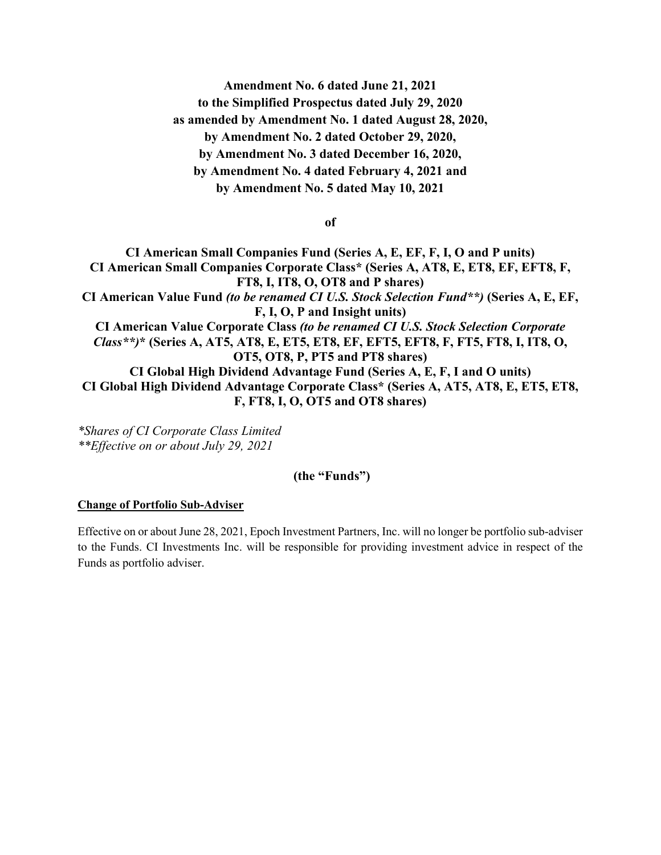**Amendment No. 6 dated June 21, 2021 to the Simplified Prospectus dated July 29, 2020 as amended by Amendment No. 1 dated August 28, 2020, by Amendment No. 2 dated October 29, 2020, by Amendment No. 3 dated December 16, 2020, by Amendment No. 4 dated February 4, 2021 and by Amendment No. 5 dated May 10, 2021**

**of**

**CI American Small Companies Fund (Series A, E, EF, F, I, O and P units) CI American Small Companies Corporate Class\* (Series A, AT8, E, ET8, EF, EFT8, F, FT8, I, IT8, O, OT8 and P shares) CI American Value Fund** *(to be renamed CI U.S. Stock Selection Fund\*\*)* **(Series A, E, EF, F, I, O, P and Insight units) CI American Value Corporate Class** *(to be renamed CI U.S. Stock Selection Corporate Class\*\*)***\* (Series A, AT5, AT8, E, ET5, ET8, EF, EFT5, EFT8, F, FT5, FT8, I, IT8, O, OT5, OT8, P, PT5 and PT8 shares) CI Global High Dividend Advantage Fund (Series A, E, F, I and O units) CI Global High Dividend Advantage Corporate Class\* (Series A, AT5, AT8, E, ET5, ET8, F, FT8, I, O, OT5 and OT8 shares)**

*\*Shares of CI Corporate Class Limited \*\*Effective on or about July 29, 2021*

## **(the "Funds")**

## **Change of Portfolio Sub-Adviser**

Effective on or about June 28, 2021, Epoch Investment Partners, Inc. will no longer be portfolio sub-adviser to the Funds. CI Investments Inc. will be responsible for providing investment advice in respect of the Funds as portfolio adviser.